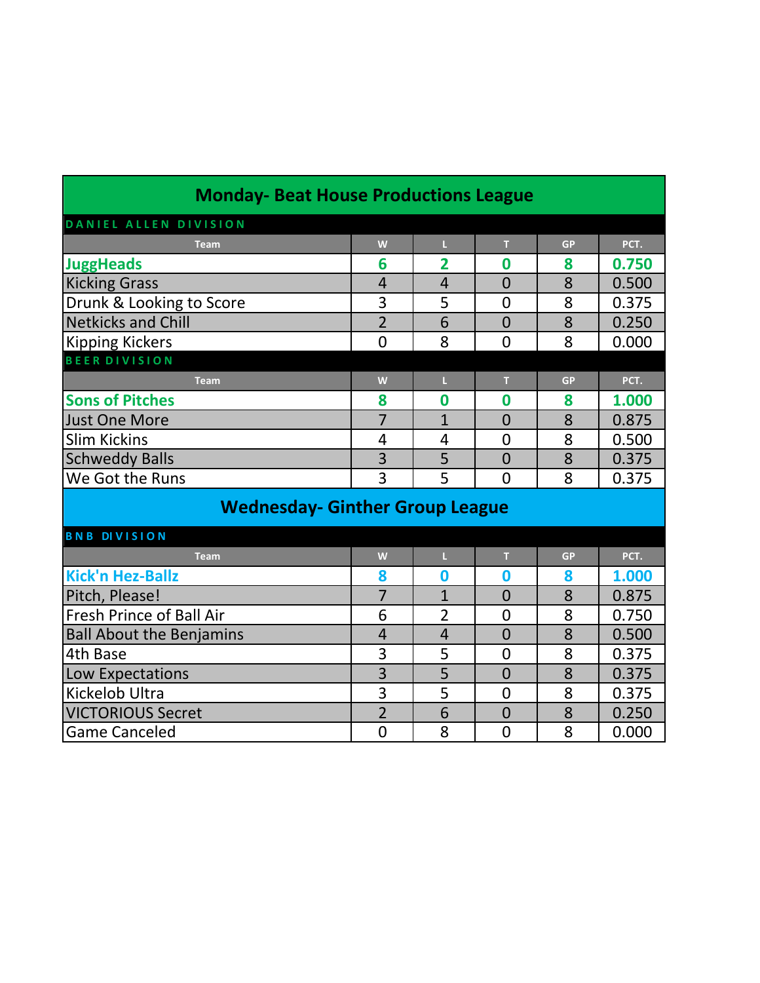| <b>Monday- Beat House Productions League</b> |                |                         |                |           |       |
|----------------------------------------------|----------------|-------------------------|----------------|-----------|-------|
| DANIEL ALLEN DIVISION                        |                |                         |                |           |       |
| <b>Team</b>                                  | W              | L.                      | T              | <b>GP</b> | PCT.  |
| <b>JuggHeads</b>                             | 6              | $\overline{\mathbf{2}}$ | 0              | 8         | 0.750 |
| <b>Kicking Grass</b>                         | $\overline{4}$ | $\overline{4}$          | $\overline{0}$ | 8         | 0.500 |
| Drunk & Looking to Score                     | 3              | 5                       | $\overline{0}$ | 8         | 0.375 |
| <b>Netkicks and Chill</b>                    | $\overline{2}$ | 6                       | $\overline{0}$ | 8         | 0.250 |
| <b>Kipping Kickers</b>                       | $\overline{0}$ | 8                       | $\overline{0}$ | 8         | 0.000 |
| <b>BEER DIVISION</b>                         |                |                         |                |           |       |
| <b>Team</b>                                  | W              | t.                      | $\mathsf T$    | <b>GP</b> | PCT.  |
| <b>Sons of Pitches</b>                       | 8              | 0                       | 0              | 8         | 1.000 |
| <b>Just One More</b>                         | $\overline{7}$ | $\overline{1}$          | $\overline{0}$ | 8         | 0.875 |
| <b>Slim Kickins</b>                          | 4              | 4                       | $\overline{0}$ | 8         | 0.500 |
| <b>Schweddy Balls</b>                        | 3              | 5                       | $\overline{0}$ | 8         | 0.375 |
| We Got the Runs                              | 3              | 5                       | $\overline{0}$ | 8         | 0.375 |
| <b>Wednesday- Ginther Group League</b>       |                |                         |                |           |       |
| <b>BNB DIVISION</b>                          |                |                         |                |           |       |
| <b>Team</b>                                  | W              | L.                      | т              | <b>GP</b> | PCT.  |
| <b>Kick'n Hez-Ballz</b>                      | 8              | $\bf{0}$                | 0              | 8         | 1.000 |
| Pitch, Please!                               | $\overline{7}$ | $\overline{1}$          | $\overline{0}$ | 8         | 0.875 |
| <b>Fresh Prince of Ball Air</b>              | 6              | $\overline{2}$          | $\overline{0}$ | 8         | 0.750 |
| <b>Ball About the Benjamins</b>              | $\overline{4}$ | $\overline{4}$          | $\overline{0}$ | 8         | 0.500 |
| 4th Base                                     | 3              | 5                       | $\overline{0}$ | 8         | 0.375 |
| Low Expectations                             | 3              | 5                       | $\overline{0}$ | 8         | 0.375 |
| Kickelob Ultra                               | 3              | 5                       | $\overline{0}$ | 8         | 0.375 |
| <b>VICTORIOUS Secret</b>                     | $\overline{2}$ | 6                       | $\overline{0}$ | 8         | 0.250 |
| <b>Game Canceled</b>                         | $\overline{0}$ | 8                       | $\overline{0}$ | 8         | 0.000 |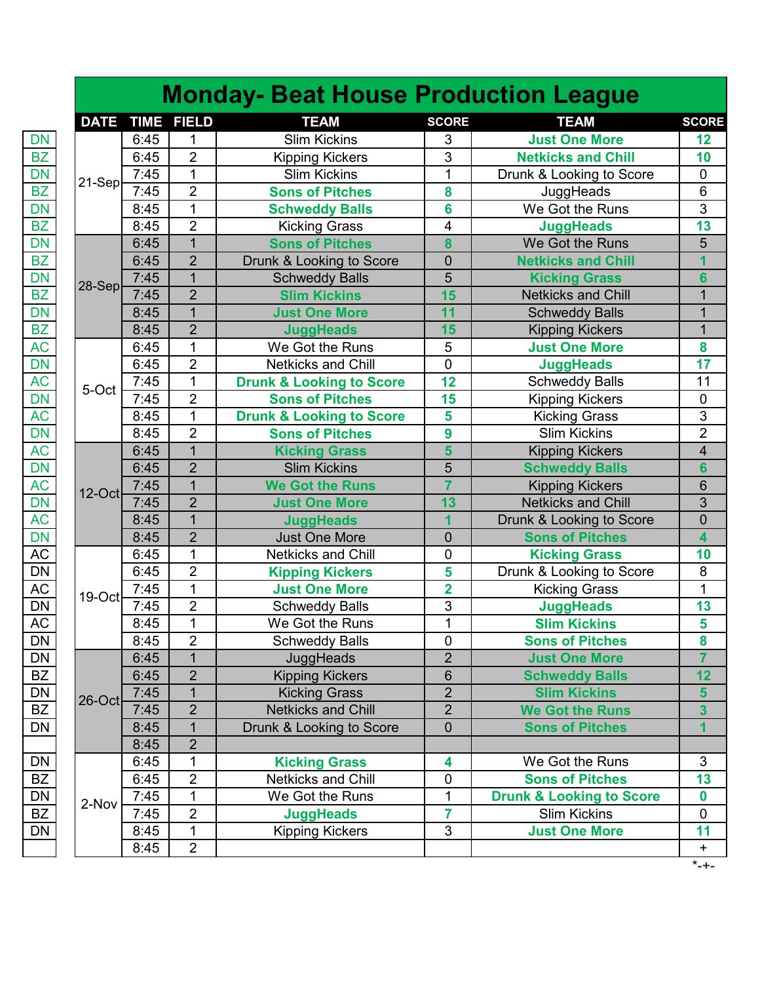|             |             |                | <b>Monday- Beat House Production League</b> |                         |                                       |              |
|-------------|-------------|----------------|---------------------------------------------|-------------------------|---------------------------------------|--------------|
| <b>DATE</b> | <b>TIME</b> | <b>FIELD</b>   | <b>TEAM</b>                                 | <b>SCORE</b>            | <b>TEAM</b>                           | <b>SCORE</b> |
|             | 6:45        | 1              | <b>Slim Kickins</b>                         | 3                       | <b>Just One More</b>                  | 12           |
|             | 6:45        | $\overline{2}$ | <b>Kipping Kickers</b>                      | 3                       | <b>Netkicks and Chill</b>             |              |
|             | 7:45        | 1              | <b>Slim Kickins</b>                         | 1                       | Drunk & Looking to Score              |              |
| $21-Sep$    | 7:45        | $\overline{2}$ | <b>Sons of Pitches</b>                      | 8                       | JuggHeads                             |              |
|             | 8:45        | $\mathbf{1}$   | <b>Schweddy Balls</b>                       | 6                       | $\overline{\mathsf{We}}$ Got the Runs |              |
|             | 8:45        | $\overline{2}$ | <b>Kicking Grass</b>                        | $\overline{\mathbf{4}}$ | <b>JuggHeads</b>                      |              |
|             | 6:45        | $\overline{1}$ | <b>Sons of Pitches</b>                      | 8                       | We Got the Runs                       |              |
|             | 6:45        | $\overline{2}$ | Drunk & Looking to Score                    | $\mathbf 0$             | <b>Netkicks and Chill</b>             |              |
|             | 7:45        | $\overline{1}$ | <b>Schweddy Balls</b>                       | 5                       | <b>Kicking Grass</b>                  |              |
| $28-Sep$    | 7:45        | $\overline{2}$ | <b>Slim Kickins</b>                         | 15                      | <b>Netkicks and Chill</b>             |              |
|             | 8:45        | $\overline{1}$ | <b>Just One More</b>                        | 11                      | <b>Schweddy Balls</b>                 |              |
|             | 8:45        | $\overline{2}$ | <b>JuggHeads</b>                            | 15                      | <b>Kipping Kickers</b>                |              |
|             | 6:45        | $\mathbf{1}$   | We Got the Runs                             | 5                       | <b>Just One More</b>                  |              |
|             | 6:45        | $\overline{2}$ | Netkicks and Chill                          | 0                       | <b>JuggHeads</b>                      |              |
|             | 7:45        | $\mathbf{1}$   | <b>Drunk &amp; Looking to Score</b>         | 12                      | <b>Schweddy Balls</b>                 |              |
| 5-Oct       | 7:45        | $\overline{2}$ | <b>Sons of Pitches</b>                      | 15                      | <b>Kipping Kickers</b>                |              |
|             | 8:45        | $\mathbf 1$    | <b>Drunk &amp; Looking to Score</b>         | 5                       | <b>Kicking Grass</b>                  |              |
|             | 8:45        | $\overline{2}$ | <b>Sons of Pitches</b>                      | 9                       | <b>Slim Kickins</b>                   |              |
|             | 6:45        | $\overline{1}$ | <b>Kicking Grass</b>                        | 5                       | <b>Kipping Kickers</b>                |              |
|             | 6:45        | $\overline{2}$ | <b>Slim Kickins</b>                         | 5                       | <b>Schweddy Balls</b>                 |              |
|             | 7:45        | $\mathbf{1}$   | <b>We Got the Runs</b>                      | 7                       | <b>Kipping Kickers</b>                |              |
| $12$ -Oct   | 7:45        | $\overline{2}$ | <b>Just One More</b>                        | 13                      | <b>Netkicks and Chill</b>             |              |
|             | 8:45        | $\overline{1}$ | <b>JuggHeads</b>                            | 1                       | Drunk & Looking to Score              |              |
|             | 8:45        | $\overline{2}$ | <b>Just One More</b>                        | $\mathbf 0$             | <b>Sons of Pitches</b>                |              |
|             | 6:45        | 1              | Netkicks and Chill                          | $\pmb{0}$               | <b>Kicking Grass</b>                  |              |
|             | 6:45        | $\overline{2}$ | <b>Kipping Kickers</b>                      | 5                       | Drunk & Looking to Score              |              |
|             | 7:45        | $\mathbf{1}$   | <b>Just One More</b>                        | $\overline{2}$          | <b>Kicking Grass</b>                  |              |
| $19-Oct$    | 7:45        | $\overline{2}$ | <b>Schweddy Balls</b>                       | 3                       | <b>JuggHeads</b>                      |              |
|             | 8:45        | $\mathbf{1}$   | We Got the Runs                             | $\mathbf{1}$            | <b>Slim Kickins</b>                   |              |
|             | 8:45        | 2              | <b>Schweddy Balls</b>                       | 0                       | <b>Sons of Pitches</b>                |              |
|             | 6:45        | 1              | JuggHeads                                   | $\overline{2}$          | <b>Just One More</b>                  |              |
|             | 6:45        | $\overline{2}$ | <b>Kipping Kickers</b>                      | 6                       | <b>Schweddy Balls</b>                 |              |
|             | 7:45        | $\overline{1}$ | <b>Kicking Grass</b>                        | $\overline{2}$          | <b>Slim Kickins</b>                   |              |
| 26-Oct      | 7:45        | $\overline{2}$ | <b>Netkicks and Chill</b>                   | $\overline{2}$          | <b>We Got the Runs</b>                |              |
|             | 8:45        | $\overline{1}$ | Drunk & Looking to Score                    | $\mathbf 0$             | <b>Sons of Pitches</b>                |              |
|             | 8:45        | $\overline{2}$ |                                             |                         |                                       |              |
|             | 6:45        | 1              | <b>Kicking Grass</b>                        | 4                       | We Got the Runs                       |              |
|             | 6:45        | $\overline{2}$ | Netkicks and Chill                          | 0                       | <b>Sons of Pitches</b>                |              |
|             | 7:45        | 1              | We Got the Runs                             | 1                       | <b>Drunk &amp; Looking to Score</b>   |              |
| 2-Nov       | 7:45        | $\overline{2}$ | <b>JuggHeads</b>                            | 7                       | <b>Slim Kickins</b>                   |              |
|             | 8:45        | 1              | <b>Kipping Kickers</b>                      | 3                       | <b>Just One More</b>                  |              |
|             | 8:45        | $\overline{2}$ |                                             |                         |                                       |              |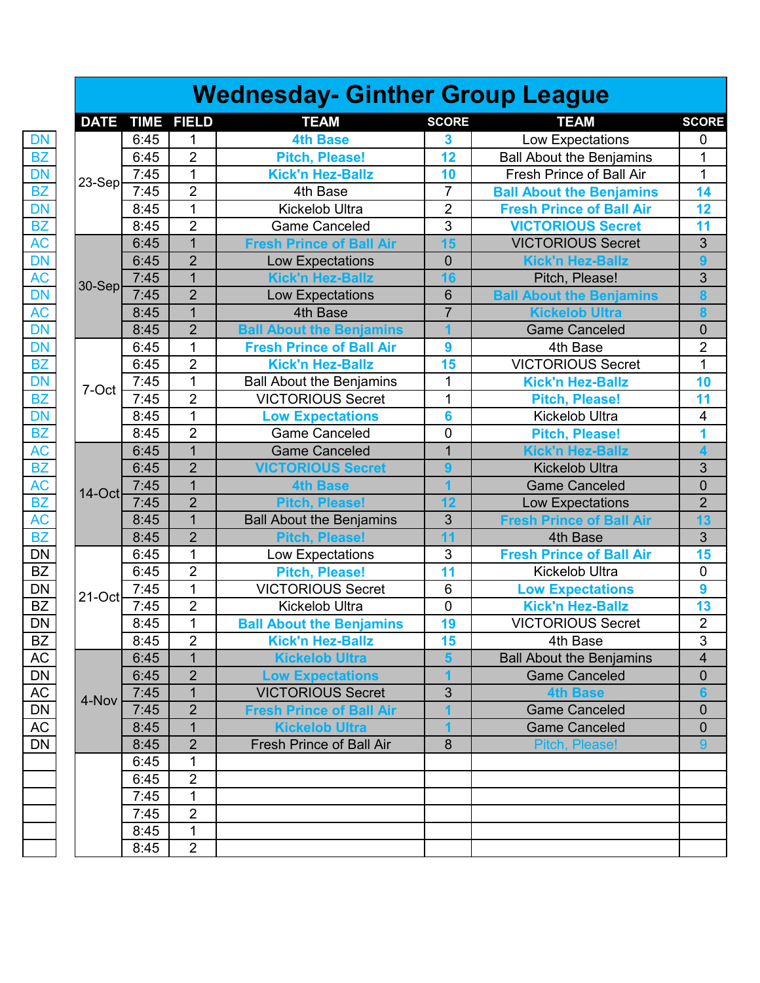|             |             |                | <b>Wednesday- Ginther Group League</b>                                                                                                                                                                                                                                                                                                                                                                                                                                                                                                                                                                                                                                                                                                                                                                                                                                                                                                                                                                                                                                                                                                                                                                                                                                                                                                                                                                                                                                                                                                                                                                                                                                                                                                                                                                                                                                                                                                                                                                                                                                                                                                                                                                                                                                                                                            |                         |                                 |                  |
|-------------|-------------|----------------|-----------------------------------------------------------------------------------------------------------------------------------------------------------------------------------------------------------------------------------------------------------------------------------------------------------------------------------------------------------------------------------------------------------------------------------------------------------------------------------------------------------------------------------------------------------------------------------------------------------------------------------------------------------------------------------------------------------------------------------------------------------------------------------------------------------------------------------------------------------------------------------------------------------------------------------------------------------------------------------------------------------------------------------------------------------------------------------------------------------------------------------------------------------------------------------------------------------------------------------------------------------------------------------------------------------------------------------------------------------------------------------------------------------------------------------------------------------------------------------------------------------------------------------------------------------------------------------------------------------------------------------------------------------------------------------------------------------------------------------------------------------------------------------------------------------------------------------------------------------------------------------------------------------------------------------------------------------------------------------------------------------------------------------------------------------------------------------------------------------------------------------------------------------------------------------------------------------------------------------------------------------------------------------------------------------------------------------|-------------------------|---------------------------------|------------------|
| <b>DATE</b> | <b>TIME</b> | <b>FIELD</b>   | <b>TEAM</b>                                                                                                                                                                                                                                                                                                                                                                                                                                                                                                                                                                                                                                                                                                                                                                                                                                                                                                                                                                                                                                                                                                                                                                                                                                                                                                                                                                                                                                                                                                                                                                                                                                                                                                                                                                                                                                                                                                                                                                                                                                                                                                                                                                                                                                                                                                                       | <b>SCORE</b>            | <b>TEAM</b>                     | <b>SCORE</b>     |
|             | 6:45        | 1              | <b>4th Base</b>                                                                                                                                                                                                                                                                                                                                                                                                                                                                                                                                                                                                                                                                                                                                                                                                                                                                                                                                                                                                                                                                                                                                                                                                                                                                                                                                                                                                                                                                                                                                                                                                                                                                                                                                                                                                                                                                                                                                                                                                                                                                                                                                                                                                                                                                                                                   | $\overline{\mathbf{3}}$ |                                 | 0                |
|             | 6:45        | $\overline{2}$ |                                                                                                                                                                                                                                                                                                                                                                                                                                                                                                                                                                                                                                                                                                                                                                                                                                                                                                                                                                                                                                                                                                                                                                                                                                                                                                                                                                                                                                                                                                                                                                                                                                                                                                                                                                                                                                                                                                                                                                                                                                                                                                                                                                                                                                                                                                                                   | 12                      | <b>Ball About the Benjamins</b> | 1                |
|             | 7:45        | 1              | <b>Kick'n Hez-Ballz</b>                                                                                                                                                                                                                                                                                                                                                                                                                                                                                                                                                                                                                                                                                                                                                                                                                                                                                                                                                                                                                                                                                                                                                                                                                                                                                                                                                                                                                                                                                                                                                                                                                                                                                                                                                                                                                                                                                                                                                                                                                                                                                                                                                                                                                                                                                                           | 10                      | Fresh Prince of Ball Air        | 1                |
| $23-Sep$    | 7:45        | $\overline{2}$ | 4th Base                                                                                                                                                                                                                                                                                                                                                                                                                                                                                                                                                                                                                                                                                                                                                                                                                                                                                                                                                                                                                                                                                                                                                                                                                                                                                                                                                                                                                                                                                                                                                                                                                                                                                                                                                                                                                                                                                                                                                                                                                                                                                                                                                                                                                                                                                                                          | $\overline{7}$          |                                 | 14               |
|             | 8:45        | $\mathbf{1}$   | Kickelob Ultra                                                                                                                                                                                                                                                                                                                                                                                                                                                                                                                                                                                                                                                                                                                                                                                                                                                                                                                                                                                                                                                                                                                                                                                                                                                                                                                                                                                                                                                                                                                                                                                                                                                                                                                                                                                                                                                                                                                                                                                                                                                                                                                                                                                                                                                                                                                    | $\overline{2}$          |                                 | 12               |
|             | 8:45        | $\overline{2}$ | Low Expectations<br><b>Pitch, Please!</b><br><b>Ball About the Benjamins</b><br><b>Fresh Prince of Ball Air</b><br>$\overline{3}$<br><b>Game Canceled</b><br><b>VICTORIOUS Secret</b><br>$\mathbf 1$<br>15<br><b>VICTORIOUS Secret</b><br><b>Fresh Prince of Ball Air</b><br>$\overline{2}$<br>$\overline{0}$<br>Low Expectations<br><b>Kick'n Hez-Ballz</b><br>$\mathbf{1}$<br><b>Kick'n Hez-Ballz</b><br>16<br>Pitch, Please!<br>$\overline{2}$<br>6<br>Low Expectations<br><b>Ball About the Benjamins</b><br>$\overline{1}$<br>$\overline{7}$<br><b>Kickelob Ultra</b><br>4th Base<br>$\overline{2}$<br><b>Ball About the Benjamins</b><br><b>Game Canceled</b><br>1<br><b>Fresh Prince of Ball Air</b><br>4th Base<br>9<br>$\overline{2}$<br><b>VICTORIOUS Secret</b><br><b>Kick'n Hez-Ballz</b><br>15<br>$\overline{1}$<br>1<br><b>Kick'n Hez-Ballz</b><br><b>Ball About the Benjamins</b><br>$\overline{2}$<br><b>VICTORIOUS Secret</b><br>1<br><b>Pitch, Please!</b><br>$\mathbf{1}$<br>Kickelob Ultra<br><b>Low Expectations</b><br>6<br>$\overline{2}$<br><b>Game Canceled</b><br>0<br><b>Pitch, Please!</b><br>$\overline{1}$<br>$\overline{1}$<br><b>Game Canceled</b><br><b>Kick'n Hez-Ballz</b><br>$\overline{2}$<br><b>VICTORIOUS Secret</b><br><b>Kickelob Ultra</b><br>9<br>$\mathbf{1}$<br><b>Game Canceled</b><br><b>4th Base</b><br>$\overline{2}$<br>12<br>Low Expectations<br><b>Pitch, Please!</b><br>$\overline{1}$<br>3<br><b>Ball About the Benjamins</b><br><b>Fresh Prince of Ball Air</b><br>$\overline{2}$<br><b>Pitch, Please!</b><br>11<br>4th Base<br>1<br>$\mathfrak{S}$<br>Low Expectations<br><b>Fresh Prince of Ball Air</b><br>$\overline{2}$<br>11<br><b>Pitch, Please!</b><br><b>Kickelob Ultra</b><br>$\mathbf{1}$<br><b>VICTORIOUS Secret</b><br>6<br><b>Low Expectations</b><br>$\overline{\mathbf{c}}$<br>Kickelob Ultra<br>0<br><b>Kick'n Hez-Ballz</b><br>$\mathbf 1$<br>19<br><b>VICTORIOUS Secret</b><br><b>Ball About the Benjamins</b><br>2<br><b>Kick'n Hez-Ballz</b><br>15<br>4th Base<br><b>Kickelob Ultra</b><br><b>Ball About the Benjamins</b><br>1<br>$\overline{2}$<br><b>Low Expectations</b><br><b>Game Canceled</b><br>$\mathbf{1}$<br>3<br><b>VICTORIOUS Secret</b><br><b>4th Base</b><br>$\overline{2}$<br><b>Game Canceled</b><br><b>Fresh Prince of Ball Air</b> | 11                      |                                 |                  |
|             | 6:45        |                |                                                                                                                                                                                                                                                                                                                                                                                                                                                                                                                                                                                                                                                                                                                                                                                                                                                                                                                                                                                                                                                                                                                                                                                                                                                                                                                                                                                                                                                                                                                                                                                                                                                                                                                                                                                                                                                                                                                                                                                                                                                                                                                                                                                                                                                                                                                                   |                         |                                 | 3                |
|             | 6:45        |                |                                                                                                                                                                                                                                                                                                                                                                                                                                                                                                                                                                                                                                                                                                                                                                                                                                                                                                                                                                                                                                                                                                                                                                                                                                                                                                                                                                                                                                                                                                                                                                                                                                                                                                                                                                                                                                                                                                                                                                                                                                                                                                                                                                                                                                                                                                                                   |                         |                                 | 9                |
|             | 7:45        |                |                                                                                                                                                                                                                                                                                                                                                                                                                                                                                                                                                                                                                                                                                                                                                                                                                                                                                                                                                                                                                                                                                                                                                                                                                                                                                                                                                                                                                                                                                                                                                                                                                                                                                                                                                                                                                                                                                                                                                                                                                                                                                                                                                                                                                                                                                                                                   |                         |                                 | 3                |
| $30-Sep$    | 7:45        |                |                                                                                                                                                                                                                                                                                                                                                                                                                                                                                                                                                                                                                                                                                                                                                                                                                                                                                                                                                                                                                                                                                                                                                                                                                                                                                                                                                                                                                                                                                                                                                                                                                                                                                                                                                                                                                                                                                                                                                                                                                                                                                                                                                                                                                                                                                                                                   |                         |                                 | 8                |
|             | 8:45        |                |                                                                                                                                                                                                                                                                                                                                                                                                                                                                                                                                                                                                                                                                                                                                                                                                                                                                                                                                                                                                                                                                                                                                                                                                                                                                                                                                                                                                                                                                                                                                                                                                                                                                                                                                                                                                                                                                                                                                                                                                                                                                                                                                                                                                                                                                                                                                   |                         |                                 | 8                |
|             | 8:45        |                |                                                                                                                                                                                                                                                                                                                                                                                                                                                                                                                                                                                                                                                                                                                                                                                                                                                                                                                                                                                                                                                                                                                                                                                                                                                                                                                                                                                                                                                                                                                                                                                                                                                                                                                                                                                                                                                                                                                                                                                                                                                                                                                                                                                                                                                                                                                                   |                         |                                 | $\boldsymbol{0}$ |
|             | 6:45        |                |                                                                                                                                                                                                                                                                                                                                                                                                                                                                                                                                                                                                                                                                                                                                                                                                                                                                                                                                                                                                                                                                                                                                                                                                                                                                                                                                                                                                                                                                                                                                                                                                                                                                                                                                                                                                                                                                                                                                                                                                                                                                                                                                                                                                                                                                                                                                   |                         |                                 | $\overline{2}$   |
|             | 6:45        |                |                                                                                                                                                                                                                                                                                                                                                                                                                                                                                                                                                                                                                                                                                                                                                                                                                                                                                                                                                                                                                                                                                                                                                                                                                                                                                                                                                                                                                                                                                                                                                                                                                                                                                                                                                                                                                                                                                                                                                                                                                                                                                                                                                                                                                                                                                                                                   |                         |                                 | 1                |
|             | 7:45        |                |                                                                                                                                                                                                                                                                                                                                                                                                                                                                                                                                                                                                                                                                                                                                                                                                                                                                                                                                                                                                                                                                                                                                                                                                                                                                                                                                                                                                                                                                                                                                                                                                                                                                                                                                                                                                                                                                                                                                                                                                                                                                                                                                                                                                                                                                                                                                   |                         |                                 | 10               |
| 7-Oct       | 7:45        |                |                                                                                                                                                                                                                                                                                                                                                                                                                                                                                                                                                                                                                                                                                                                                                                                                                                                                                                                                                                                                                                                                                                                                                                                                                                                                                                                                                                                                                                                                                                                                                                                                                                                                                                                                                                                                                                                                                                                                                                                                                                                                                                                                                                                                                                                                                                                                   |                         |                                 | 11               |
|             | 8:45        |                |                                                                                                                                                                                                                                                                                                                                                                                                                                                                                                                                                                                                                                                                                                                                                                                                                                                                                                                                                                                                                                                                                                                                                                                                                                                                                                                                                                                                                                                                                                                                                                                                                                                                                                                                                                                                                                                                                                                                                                                                                                                                                                                                                                                                                                                                                                                                   |                         |                                 | 4                |
|             | 8:45        |                |                                                                                                                                                                                                                                                                                                                                                                                                                                                                                                                                                                                                                                                                                                                                                                                                                                                                                                                                                                                                                                                                                                                                                                                                                                                                                                                                                                                                                                                                                                                                                                                                                                                                                                                                                                                                                                                                                                                                                                                                                                                                                                                                                                                                                                                                                                                                   |                         |                                 | 1                |
|             | 6:45        |                |                                                                                                                                                                                                                                                                                                                                                                                                                                                                                                                                                                                                                                                                                                                                                                                                                                                                                                                                                                                                                                                                                                                                                                                                                                                                                                                                                                                                                                                                                                                                                                                                                                                                                                                                                                                                                                                                                                                                                                                                                                                                                                                                                                                                                                                                                                                                   |                         |                                 | 4                |
|             | 6:45        |                |                                                                                                                                                                                                                                                                                                                                                                                                                                                                                                                                                                                                                                                                                                                                                                                                                                                                                                                                                                                                                                                                                                                                                                                                                                                                                                                                                                                                                                                                                                                                                                                                                                                                                                                                                                                                                                                                                                                                                                                                                                                                                                                                                                                                                                                                                                                                   |                         |                                 | 3                |
|             | 7:45        |                |                                                                                                                                                                                                                                                                                                                                                                                                                                                                                                                                                                                                                                                                                                                                                                                                                                                                                                                                                                                                                                                                                                                                                                                                                                                                                                                                                                                                                                                                                                                                                                                                                                                                                                                                                                                                                                                                                                                                                                                                                                                                                                                                                                                                                                                                                                                                   |                         |                                 | $\overline{0}$   |
| $14$ -Oct   | 7:45        |                |                                                                                                                                                                                                                                                                                                                                                                                                                                                                                                                                                                                                                                                                                                                                                                                                                                                                                                                                                                                                                                                                                                                                                                                                                                                                                                                                                                                                                                                                                                                                                                                                                                                                                                                                                                                                                                                                                                                                                                                                                                                                                                                                                                                                                                                                                                                                   |                         |                                 | $\overline{2}$   |
|             | 8:45        |                |                                                                                                                                                                                                                                                                                                                                                                                                                                                                                                                                                                                                                                                                                                                                                                                                                                                                                                                                                                                                                                                                                                                                                                                                                                                                                                                                                                                                                                                                                                                                                                                                                                                                                                                                                                                                                                                                                                                                                                                                                                                                                                                                                                                                                                                                                                                                   |                         |                                 | 13               |
|             | 8:45        |                |                                                                                                                                                                                                                                                                                                                                                                                                                                                                                                                                                                                                                                                                                                                                                                                                                                                                                                                                                                                                                                                                                                                                                                                                                                                                                                                                                                                                                                                                                                                                                                                                                                                                                                                                                                                                                                                                                                                                                                                                                                                                                                                                                                                                                                                                                                                                   |                         |                                 | 3                |
|             | 6:45        |                |                                                                                                                                                                                                                                                                                                                                                                                                                                                                                                                                                                                                                                                                                                                                                                                                                                                                                                                                                                                                                                                                                                                                                                                                                                                                                                                                                                                                                                                                                                                                                                                                                                                                                                                                                                                                                                                                                                                                                                                                                                                                                                                                                                                                                                                                                                                                   |                         |                                 | 15               |
|             | 6:45        |                |                                                                                                                                                                                                                                                                                                                                                                                                                                                                                                                                                                                                                                                                                                                                                                                                                                                                                                                                                                                                                                                                                                                                                                                                                                                                                                                                                                                                                                                                                                                                                                                                                                                                                                                                                                                                                                                                                                                                                                                                                                                                                                                                                                                                                                                                                                                                   |                         |                                 | $\mathbf 0$      |
|             | 7:45        |                |                                                                                                                                                                                                                                                                                                                                                                                                                                                                                                                                                                                                                                                                                                                                                                                                                                                                                                                                                                                                                                                                                                                                                                                                                                                                                                                                                                                                                                                                                                                                                                                                                                                                                                                                                                                                                                                                                                                                                                                                                                                                                                                                                                                                                                                                                                                                   |                         |                                 | 9                |
| 21-Oct      | 7:45        |                |                                                                                                                                                                                                                                                                                                                                                                                                                                                                                                                                                                                                                                                                                                                                                                                                                                                                                                                                                                                                                                                                                                                                                                                                                                                                                                                                                                                                                                                                                                                                                                                                                                                                                                                                                                                                                                                                                                                                                                                                                                                                                                                                                                                                                                                                                                                                   |                         |                                 | 13               |
|             | 8:45        |                |                                                                                                                                                                                                                                                                                                                                                                                                                                                                                                                                                                                                                                                                                                                                                                                                                                                                                                                                                                                                                                                                                                                                                                                                                                                                                                                                                                                                                                                                                                                                                                                                                                                                                                                                                                                                                                                                                                                                                                                                                                                                                                                                                                                                                                                                                                                                   |                         |                                 | $\overline{2}$   |
|             | 8:45        |                |                                                                                                                                                                                                                                                                                                                                                                                                                                                                                                                                                                                                                                                                                                                                                                                                                                                                                                                                                                                                                                                                                                                                                                                                                                                                                                                                                                                                                                                                                                                                                                                                                                                                                                                                                                                                                                                                                                                                                                                                                                                                                                                                                                                                                                                                                                                                   |                         |                                 | 3                |
|             | 6:45        |                |                                                                                                                                                                                                                                                                                                                                                                                                                                                                                                                                                                                                                                                                                                                                                                                                                                                                                                                                                                                                                                                                                                                                                                                                                                                                                                                                                                                                                                                                                                                                                                                                                                                                                                                                                                                                                                                                                                                                                                                                                                                                                                                                                                                                                                                                                                                                   |                         |                                 | 4                |
|             | 6:45        |                |                                                                                                                                                                                                                                                                                                                                                                                                                                                                                                                                                                                                                                                                                                                                                                                                                                                                                                                                                                                                                                                                                                                                                                                                                                                                                                                                                                                                                                                                                                                                                                                                                                                                                                                                                                                                                                                                                                                                                                                                                                                                                                                                                                                                                                                                                                                                   |                         |                                 | 0                |
|             | 7:45        |                |                                                                                                                                                                                                                                                                                                                                                                                                                                                                                                                                                                                                                                                                                                                                                                                                                                                                                                                                                                                                                                                                                                                                                                                                                                                                                                                                                                                                                                                                                                                                                                                                                                                                                                                                                                                                                                                                                                                                                                                                                                                                                                                                                                                                                                                                                                                                   |                         |                                 | 6                |
| 4-Nov       | 7:45        |                |                                                                                                                                                                                                                                                                                                                                                                                                                                                                                                                                                                                                                                                                                                                                                                                                                                                                                                                                                                                                                                                                                                                                                                                                                                                                                                                                                                                                                                                                                                                                                                                                                                                                                                                                                                                                                                                                                                                                                                                                                                                                                                                                                                                                                                                                                                                                   |                         |                                 | $\mathbf 0$      |
|             | 8:45        | 1              | <b>Kickelob Ultra</b>                                                                                                                                                                                                                                                                                                                                                                                                                                                                                                                                                                                                                                                                                                                                                                                                                                                                                                                                                                                                                                                                                                                                                                                                                                                                                                                                                                                                                                                                                                                                                                                                                                                                                                                                                                                                                                                                                                                                                                                                                                                                                                                                                                                                                                                                                                             |                         | <b>Game Canceled</b>            | 0                |
|             | 8:45        | $\overline{2}$ | <b>Fresh Prince of Ball Air</b>                                                                                                                                                                                                                                                                                                                                                                                                                                                                                                                                                                                                                                                                                                                                                                                                                                                                                                                                                                                                                                                                                                                                                                                                                                                                                                                                                                                                                                                                                                                                                                                                                                                                                                                                                                                                                                                                                                                                                                                                                                                                                                                                                                                                                                                                                                   | 8                       | Pitch, Please!                  | 9                |
|             | 6:45        | 1              |                                                                                                                                                                                                                                                                                                                                                                                                                                                                                                                                                                                                                                                                                                                                                                                                                                                                                                                                                                                                                                                                                                                                                                                                                                                                                                                                                                                                                                                                                                                                                                                                                                                                                                                                                                                                                                                                                                                                                                                                                                                                                                                                                                                                                                                                                                                                   |                         |                                 |                  |
|             | 6:45        | $\overline{2}$ |                                                                                                                                                                                                                                                                                                                                                                                                                                                                                                                                                                                                                                                                                                                                                                                                                                                                                                                                                                                                                                                                                                                                                                                                                                                                                                                                                                                                                                                                                                                                                                                                                                                                                                                                                                                                                                                                                                                                                                                                                                                                                                                                                                                                                                                                                                                                   |                         |                                 |                  |
|             | 7:45        | $\mathbf{1}$   |                                                                                                                                                                                                                                                                                                                                                                                                                                                                                                                                                                                                                                                                                                                                                                                                                                                                                                                                                                                                                                                                                                                                                                                                                                                                                                                                                                                                                                                                                                                                                                                                                                                                                                                                                                                                                                                                                                                                                                                                                                                                                                                                                                                                                                                                                                                                   |                         |                                 |                  |
|             | 7:45        | $\overline{2}$ |                                                                                                                                                                                                                                                                                                                                                                                                                                                                                                                                                                                                                                                                                                                                                                                                                                                                                                                                                                                                                                                                                                                                                                                                                                                                                                                                                                                                                                                                                                                                                                                                                                                                                                                                                                                                                                                                                                                                                                                                                                                                                                                                                                                                                                                                                                                                   |                         |                                 |                  |
|             | 8:45        | 1              |                                                                                                                                                                                                                                                                                                                                                                                                                                                                                                                                                                                                                                                                                                                                                                                                                                                                                                                                                                                                                                                                                                                                                                                                                                                                                                                                                                                                                                                                                                                                                                                                                                                                                                                                                                                                                                                                                                                                                                                                                                                                                                                                                                                                                                                                                                                                   |                         |                                 |                  |
|             | 8:45        | $\overline{2}$ |                                                                                                                                                                                                                                                                                                                                                                                                                                                                                                                                                                                                                                                                                                                                                                                                                                                                                                                                                                                                                                                                                                                                                                                                                                                                                                                                                                                                                                                                                                                                                                                                                                                                                                                                                                                                                                                                                                                                                                                                                                                                                                                                                                                                                                                                                                                                   |                         |                                 |                  |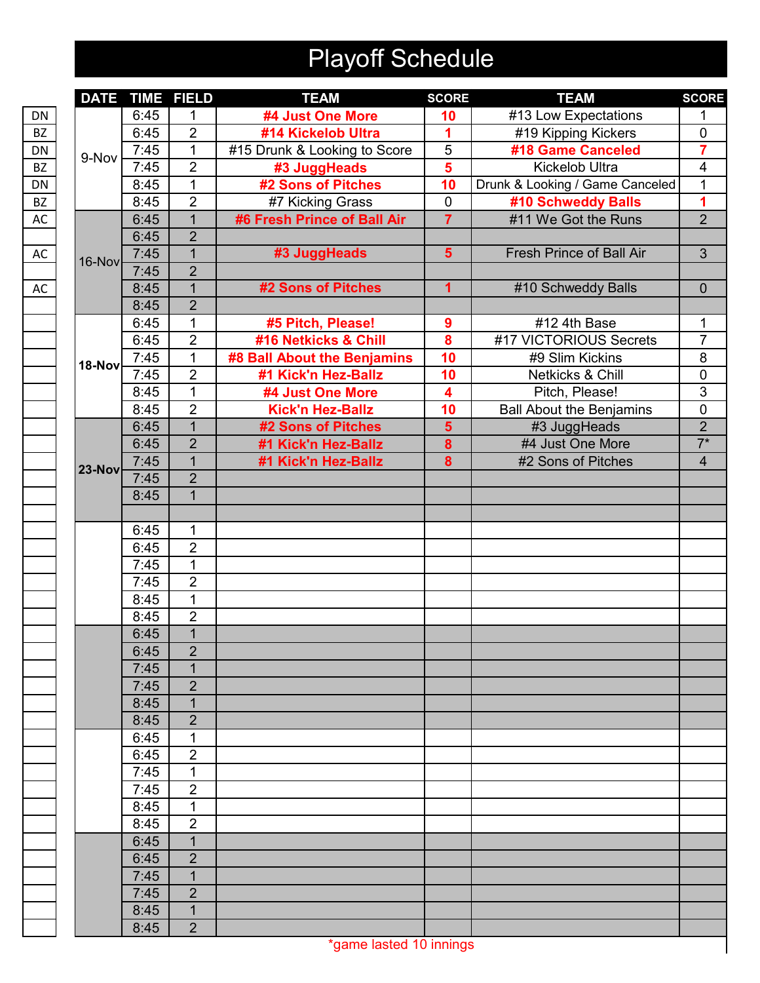## Playoff Schedule

| <b>DATE</b> |      | <b>TIME FIELD</b> | <b>TEAM</b>                  | <b>SCORE</b>            | <b>TEAM</b>                     | <b>SCORE</b>   |
|-------------|------|-------------------|------------------------------|-------------------------|---------------------------------|----------------|
|             | 6:45 | 1                 | #4 Just One More             | 10                      | #13 Low Expectations            |                |
|             | 6:45 | $\overline{2}$    | #14 Kickelob Ultra           | 1                       | #19 Kipping Kickers             | $\pmb{0}$      |
| 9-Nov       | 7:45 | 1                 | #15 Drunk & Looking to Score | $\overline{5}$          | #18 Game Canceled               | $\overline{7}$ |
|             | 7:45 | $\overline{2}$    | #3 JuggHeads                 | $\overline{\mathbf{5}}$ | <b>Kickelob Ultra</b>           | 4              |
|             | 8:45 | 1                 | #2 Sons of Pitches           | 10                      | Drunk & Looking / Game Canceled | 1              |
|             | 8:45 | $\overline{2}$    | #7 Kicking Grass             | $\mathbf 0$             | #10 Schweddy Balls              | 1              |
|             | 6:45 | $\overline{1}$    | #6 Fresh Prince of Ball Air  | $\overline{7}$          | #11 We Got the Runs             | $\overline{2}$ |
|             | 6:45 | $\overline{2}$    |                              |                         |                                 |                |
| 16-Nov      | 7:45 | 1                 | #3 JuggHeads                 | $5\phantom{1}$          | <b>Fresh Prince of Ball Air</b> | $\mathbf{3}$   |
|             | 7:45 | $\overline{2}$    |                              |                         |                                 |                |
|             | 8:45 | $\mathbf{1}$      | #2 Sons of Pitches           | $\overline{\mathbf{1}}$ | #10 Schweddy Balls              | $\mathbf 0$    |
|             | 8:45 | $\overline{2}$    |                              |                         |                                 |                |
|             | 6:45 | 1                 | #5 Pitch, Please!            | 9                       | #12 4th Base                    | 1              |
|             | 6:45 | $\overline{2}$    | #16 Netkicks & Chill         | $\overline{\mathbf{8}}$ | #17 VICTORIOUS Secrets          | $\overline{7}$ |
| 18-Nov      | 7:45 | 1                 | #8 Ball About the Benjamins  | 10                      | #9 Slim Kickins                 | 8              |
|             | 7:45 | $\overline{2}$    | #1 Kick'n Hez-Ballz          | 10                      | Netkicks & Chill                | $\pmb{0}$      |
|             | 8:45 | $\overline{1}$    | #4 Just One More             | $\overline{\mathbf{4}}$ | Pitch, Please!                  | 3              |
|             | 8:45 | $\overline{2}$    | <b>Kick'n Hez-Ballz</b>      | 10                      | <b>Ball About the Benjamins</b> | $\pmb{0}$      |
|             | 6:45 | $\overline{1}$    | #2 Sons of Pitches           | $\overline{\mathbf{5}}$ | #3 JuggHeads                    | $\overline{2}$ |
|             | 6:45 | $\overline{2}$    | #1 Kick'n Hez-Ballz          | 8                       | #4 Just One More                | $\overline{7}$ |
| $23-Nov$    | 7:45 | $\overline{1}$    | #1 Kick'n Hez-Ballz          | 8                       | #2 Sons of Pitches              | $\overline{4}$ |
|             | 7:45 | $\overline{2}$    |                              |                         |                                 |                |
|             | 8:45 | $\overline{1}$    |                              |                         |                                 |                |
|             |      |                   |                              |                         |                                 |                |
|             | 6:45 | 1                 |                              |                         |                                 |                |
|             | 6:45 | $\overline{2}$    |                              |                         |                                 |                |
|             | 7:45 | 1                 |                              |                         |                                 |                |
|             | 7:45 | $\overline{2}$    |                              |                         |                                 |                |
|             | 8:45 | $\overline{1}$    |                              |                         |                                 |                |
|             | 8:45 | $\overline{2}$    |                              |                         |                                 |                |
|             | 6:45 | $\mathbf{1}$      |                              |                         |                                 |                |
|             | 6:45 | $\overline{2}$    |                              |                         |                                 |                |
|             | 7:45 | 1                 |                              |                         |                                 |                |
|             | 7:45 | $\overline{2}$    |                              |                         |                                 |                |
|             | 8:45 | $\overline{1}$    |                              |                         |                                 |                |
|             | 8:45 | $\overline{2}$    |                              |                         |                                 |                |
|             | 6:45 | 1                 |                              |                         |                                 |                |
|             | 6:45 | $\overline{2}$    |                              |                         |                                 |                |
|             | 7:45 | 1                 |                              |                         |                                 |                |
|             | 7:45 | $\overline{2}$    |                              |                         |                                 |                |
|             | 8:45 | 1                 |                              |                         |                                 |                |
|             | 8:45 | $\overline{2}$    |                              |                         |                                 |                |
|             | 6:45 | $\mathbf{1}$      |                              |                         |                                 |                |
|             | 6:45 | $\overline{2}$    |                              |                         |                                 |                |
|             |      |                   |                              |                         |                                 |                |
|             | 7:45 | $\mathbf{1}$      |                              |                         |                                 |                |
|             | 7:45 | $\overline{2}$    |                              |                         |                                 |                |
|             | 8:45 | 1                 |                              |                         |                                 |                |